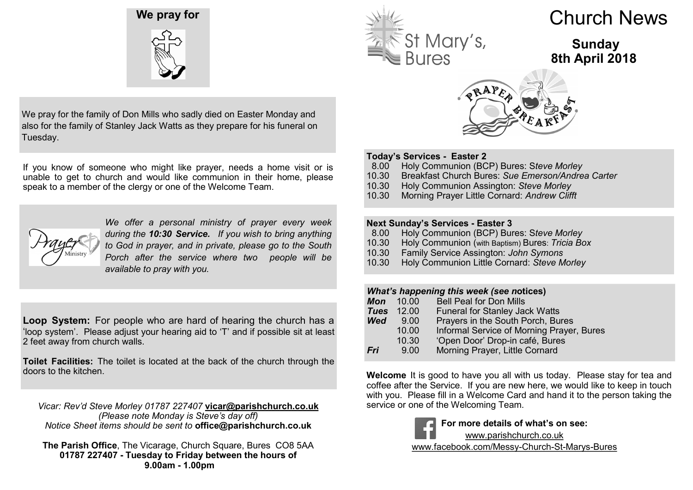



We pray for the family of Don Mills who sadly died on Easter Monday and also for the family of Stanley Jack Watts as they prepare for his funeral on Tuesday.

If you know of someone who might like prayer, needs a home visit or is unable to get to church and would like communion in their home, please speak to a member of the clergy or one of the Welcome Team.



*We offer a personal ministry of prayer every week during the 10:30 Service. If you wish to bring anything to God in prayer, and in private, please go to the South Porch after the service where two people will be available to pray with you.*

**Loop System:** For people who are hard of hearing the church has a 'loop system'. Please adjust your hearing aid to 'T' and if possible sit at least 2 feet away from church walls.

**Toilet Facilities:** The toilet is located at the back of the church through the doors to the kitchen.

*Vicar: Rev'd Steve Morley 01787 227407* **vicar@parishchurch.co.uk** *(Please note Monday is Steve's day off) Notice Sheet items should be sent to* **office@parishchurch.co.uk**

**The Parish Office**, The Vicarage, Church Square, Bures CO8 5AA **01787 227407 - Tuesday to Friday between the hours of 9.00am - 1.00pm**



# Church News

# **Sunday 8th April 2018**



### **Today's Services - Easter 2**

- 8.00 Holy Communion (BCP) Bures: S*teve Morley*
- 10.30 Breakfast Church Bures: *Sue Emerson/Andrea Carter*
- 10.30 Holy Communion Assington: *Steve Morley*
- 10.30 Morning Prayer Little Cornard: *Andrew Clifft*

### **Next Sunday's Services - Easter 3**

- 8.00 Holy Communion (BCP) Bures: S*teve Morley*
- 10.30 Holy Communion (with Baptism) Bures: *Tricia Box*
- 10.30 Family Service Assington: *John Symons*
- 10.30 Holy Communion Little Cornard: *Steve Morley*

- *What's happening this week (see n***otices) Mon** 10.00 Bell Peal for Don Mills<br>**Tues** 12.00 Funeral for Stanley Jac **Funeral for Stanley Jack Watts Wed** 9.00 Prayers in the South Porch, Bures<br>10.00 Informal Service of Morning Prayer 10.00 Informal Service of Morning Prayer, Bures
- 10.30 'Open Door' Drop-in café, Bures<br>**Fri** 9.00 Morning Praver. Little Cornard **Morning Prayer, Little Cornard**

**Welcome** It is good to have you all with us today. Please stay for tea and coffee after the Service. If you are new here, we would like to keep in touch with you. Please fill in a Welcome Card and hand it to the person taking the service or one of the Welcoming Team.



**For more details of what's on see:**

www.parishchurch.co.uk

www.facebook.com/Messy-Church-St-Marys-Bures